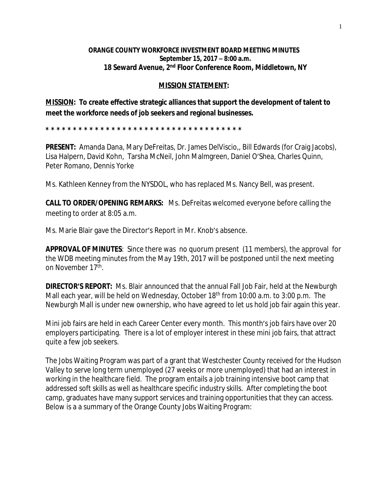## **ORANGE COUNTY WORKFORCE INVESTMENT BOARD MEETING MINUTES September 15, 2017 – 8:00 a.m. 18 Seward Avenue, 2nd Floor Conference Room, Middletown, NY**

## **MISSION STATEMENT:**

**MISSION: To create effective strategic alliances that support the development of talent to meet the workforce needs of job seekers and regional businesses.**

**\* \* \* \* \* \* \* \* \* \* \* \* \* \* \* \* \* \* \* \* \* \* \* \* \* \* \* \* \* \* \* \* \* \* \* \*** 

**PRESENT:** Amanda Dana, Mary DeFreitas, Dr. James DelViscio,, Bill Edwards (for Craig Jacobs), Lisa Halpern, David Kohn, Tarsha McNeil, John Malmgreen, Daniel O'Shea, Charles Quinn, Peter Romano, Dennis Yorke

Ms. Kathleen Kenney from the NYSDOL, who has replaced Ms. Nancy Bell, was present.

**CALL TO ORDER/OPENING REMARKS:** Ms. DeFreitas welcomed everyone before calling the meeting to order at 8:05 a.m.

Ms. Marie Blair gave the Director's Report in Mr. Knob's absence.

**APPROVAL OF MINUTES**: Since there was no quorum present (11 members), the approval for the WDB meeting minutes from the May 19th, 2017 will be postponed until the next meeting on November 17th .

**DIRECTOR'S REPORT:** Ms. Blair announced that the annual Fall Job Fair, held at the Newburgh Mall each year, will be held on Wednesday, October 18<sup>th</sup> from 10:00 a.m. to 3:00 p.m. The Newburgh Mall is under new ownership, who have agreed to let us hold job fair again this year.

Mini job fairs are held in each Career Center every month. This month's job fairs have over 20 employers participating. There is a lot of employer interest in these mini job fairs, that attract quite a few job seekers.

The Jobs Waiting Program was part of a grant that Westchester County received for the Hudson Valley to serve long term unemployed (27 weeks or more unemployed) that had an interest in working in the healthcare field. The program entails a job training intensive boot camp that addressed soft skills as well as healthcare specific industry skills. After completing the boot camp, graduates have many support services and training opportunities that they can access. Below is a a summary of the Orange County Jobs Waiting Program: